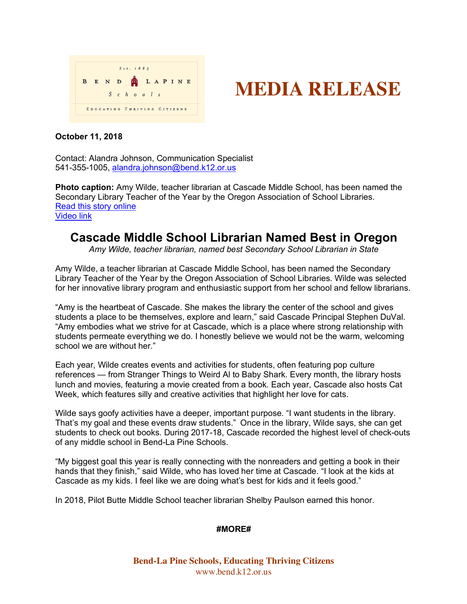



## **October 11, 2018**

Contact: Alandra Johnson, Communication Specialist 541-355-1005, alandra.johnson@bend.k12.or.us

**Photo caption:** Amy Wilde, teacher librarian at Cascade Middle School, has been named the Secondary Library Teacher of the Year by the Oregon Association of School Libraries. Read this story online Video link

## **Cascade Middle School Librarian Named Best in Oregon**

*Amy Wilde, teacher librarian, named best Secondary School Librarian in State*

Amy Wilde, a teacher librarian at Cascade Middle School, has been named the Secondary Library Teacher of the Year by the Oregon Association of School Libraries. Wilde was selected for her innovative library program and enthusiastic support from her school and fellow librarians.

"Amy is the heartbeat of Cascade. She makes the library the center of the school and gives students a place to be themselves, explore and learn," said Cascade Principal Stephen DuVal. "Amy embodies what we strive for at Cascade, which is a place where strong relationship with students permeate everything we do. I honestly believe we would not be the warm, welcoming school we are without her."

Each year, Wilde creates events and activities for students, often featuring pop culture references — from Stranger Things to Weird Al to Baby Shark. Every month, the library hosts lunch and movies, featuring a movie created from a book. Each year, Cascade also hosts Cat Week, which features silly and creative activities that highlight her love for cats.

Wilde says goofy activities have a deeper, important purpose. "I want students in the library. That's my goal and these events draw students." Once in the library, Wilde says, she can get students to check out books. During 2017-18, Cascade recorded the highest level of check-outs of any middle school in Bend-La Pine Schools.

"My biggest goal this year is really connecting with the nonreaders and getting a book in their hands that they finish," said Wilde, who has loved her time at Cascade. "I look at the kids at Cascade as my kids. I feel like we are doing what's best for kids and it feels good."

In 2018, Pilot Butte Middle School teacher librarian Shelby Paulson earned this honor.

## **#MORE#**